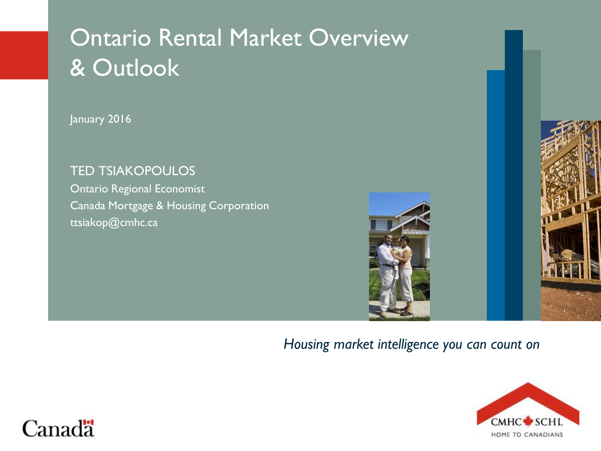# Ontario Rental Market Overview & Outlook

January 2016

TED TSIAKOPOULOS Ontario Regional Economist Canada Mortgage & Housing Corporation ttsiakop@cmhc.ca



#### *Housing market intelligence you can count on*



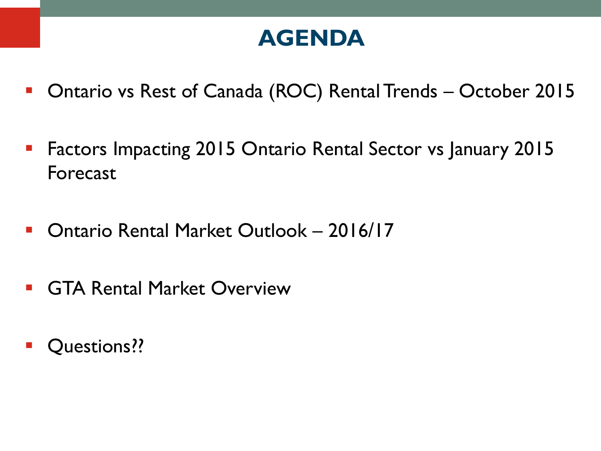### **AGENDA**

- Ontario vs Rest of Canada (ROC) Rental Trends October 2015
- **Factors Impacting 2015 Ontario Rental Sector vs January 2015** Forecast
- Ontario Rental Market Outlook 2016/17
- **GTA Rental Market Overview**
- **Questions??**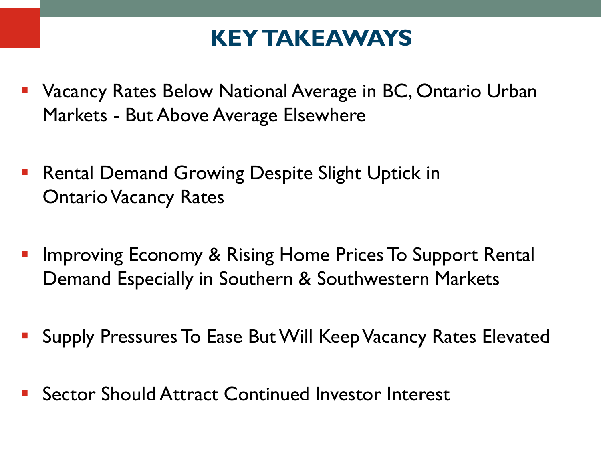## **KEY TAKEAWAYS**

- Vacancy Rates Below National Average in BC, Ontario Urban Markets - But Above Average Elsewhere
- **Rental Demand Growing Despite Slight Uptick in** Ontario Vacancy Rates
- Improving Economy & Rising Home Prices To Support Rental Demand Especially in Southern & Southwestern Markets
- Supply Pressures To Ease But Will Keep Vacancy Rates Elevated
- Sector Should Attract Continued Investor Interest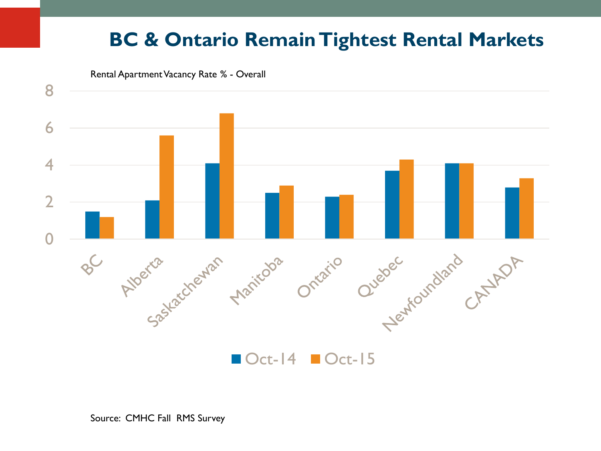### **BC & Ontario Remain Tightest Rental Markets**





 $\blacksquare$  Oct-14  $\blacksquare$  Oct-15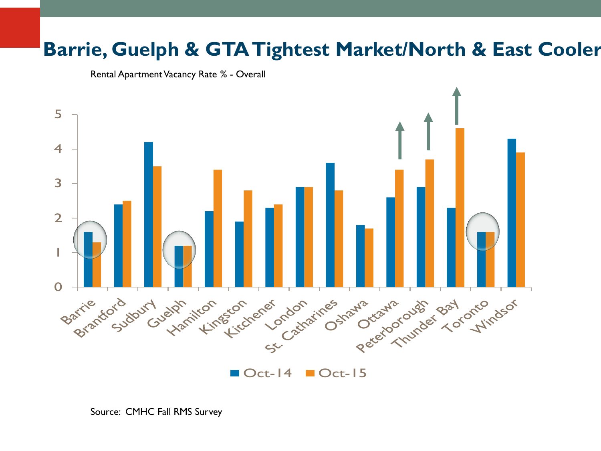### **Barrie, Guelph & GTA Tightest Market/North & East Cooler**

Rental Apartment Vacancy Rate % - Overall

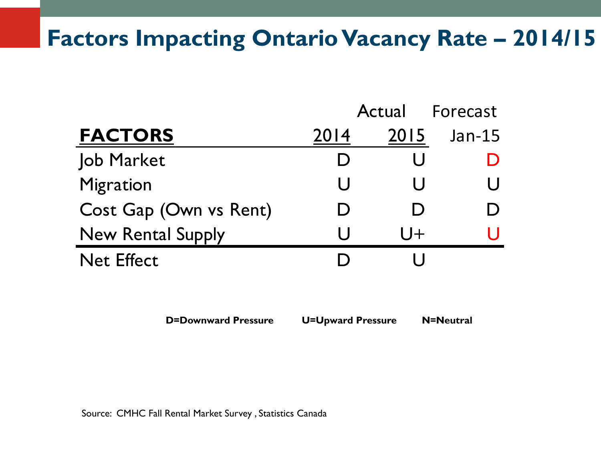## **Factors Impacting Ontario Vacancy Rate - 2014/15**

|                          |      | Actual | Forecast |
|--------------------------|------|--------|----------|
| <b>FACTORS</b>           | 2014 | 2015   | $Jan-15$ |
| Job Market               |      |        |          |
| <b>Migration</b>         | U    |        |          |
| Cost Gap (Own vs Rent)   |      |        |          |
| <b>New Rental Supply</b> | U    | $ J+$  |          |
| <b>Net Effect</b>        |      |        |          |

**D=Downward Pressure U=Upward Pressure N=Neutral**

Source: CMHC Fall Rental Market Survey , Statistics Canada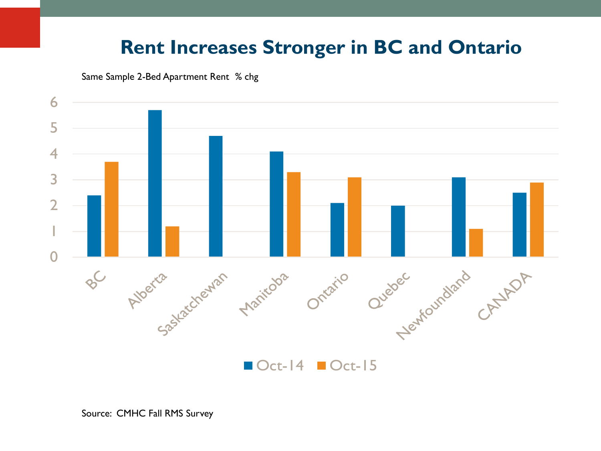### **Rent Increases Stronger in BC and Ontario**

Same Sample 2-Bed Apartment Rent % chg



 $\blacksquare$  Oct-14  $\blacksquare$  Oct-15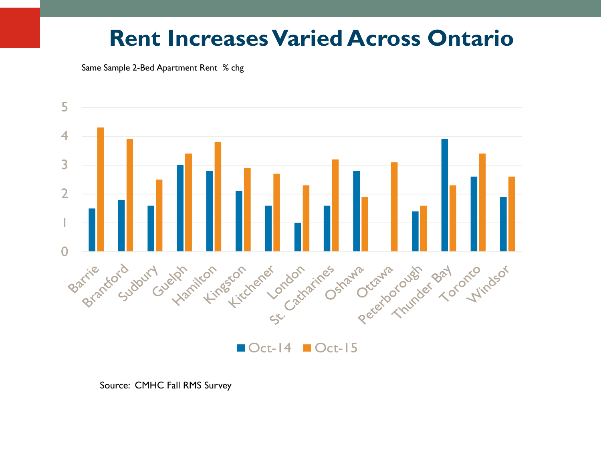### **Rent Increases Varied Across Ontario**

Same Sample 2-Bed Apartment Rent % chg



Source: CMHC Fall RMS Survey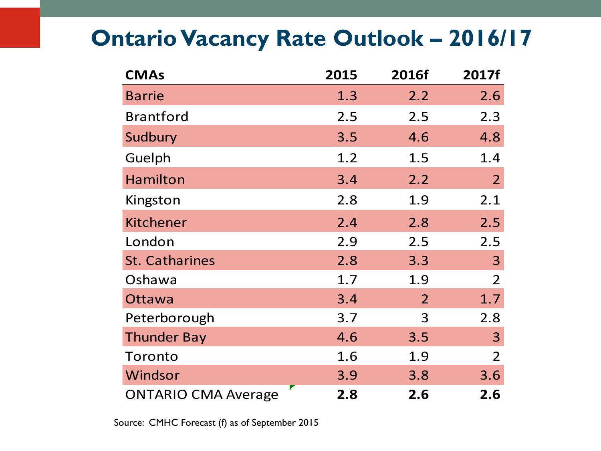## **Ontario Vacancy Rate Outlook – 2016/17**

| <b>CMAs</b>                | 2015 | 2016f | 2017f          |
|----------------------------|------|-------|----------------|
| <b>Barrie</b>              | 1.3  | 2.2   | 2.6            |
| <b>Brantford</b>           | 2.5  | 2.5   | 2.3            |
| Sudbury                    | 3.5  | 4.6   | 4.8            |
| Guelph                     | 1.2  | 1.5   | 1.4            |
| Hamilton                   | 3.4  | 2.2   | $\overline{2}$ |
| Kingston                   | 2.8  | 1.9   | 2.1            |
| <b>Kitchener</b>           | 2.4  | 2.8   | 2.5            |
| London                     | 2.9  | 2.5   | 2.5            |
| <b>St. Catharines</b>      | 2.8  | 3.3   | 3              |
| Oshawa                     | 1.7  | 1.9   | $\overline{2}$ |
| Ottawa                     | 3.4  | 2     | 1.7            |
| Peterborough               | 3.7  | 3     | 2.8            |
| <b>Thunder Bay</b>         | 4.6  | 3.5   | 3              |
| Toronto                    | 1.6  | 1.9   | $\overline{2}$ |
| Windsor                    | 3.9  | 3.8   | 3.6            |
| <b>ONTARIO CMA Average</b> | 2.8  | 2.6   | 2.6            |

Source: CMHC Forecast (f) as of September 2015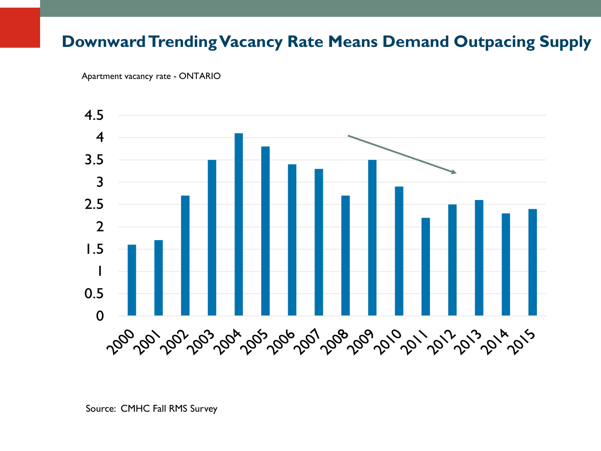#### **Downward Trending Vacancy Rate Means Demand Outpacing Supply**

Apartment vacancy rate - ONTARIO

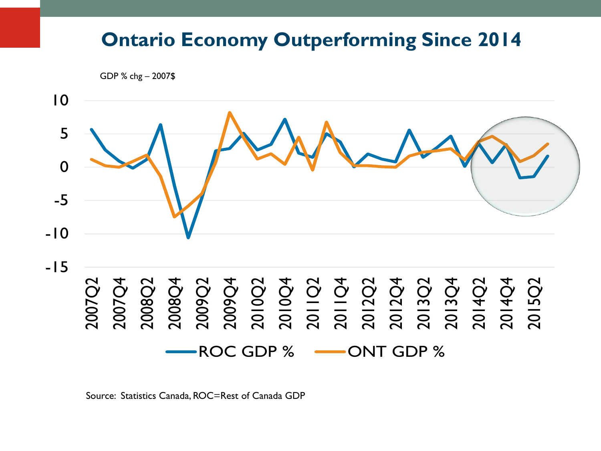#### **Ontario Economy Outperforming Since 2014**

GDP % chg – 2007\$



Source: Statistics Canada, ROC=Rest of Canada GDP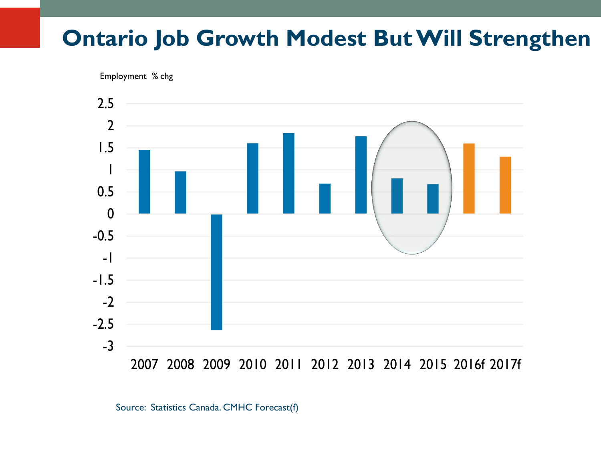### **Ontario Job Growth Modest But Will Strengthen**

Employment % chg



Source: Statistics Canada. CMHC Forecast(f)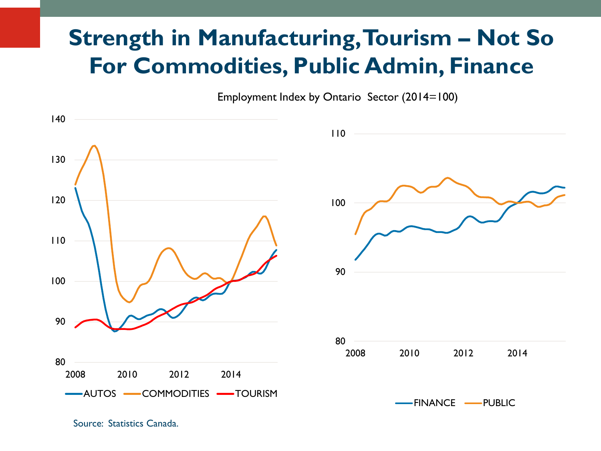## **Strength in Manufacturing, Tourism - Not So For Commodities, Public Admin, Finance**

Employment Index by Ontario Sector (2014=100)



Source: Statistics Canada.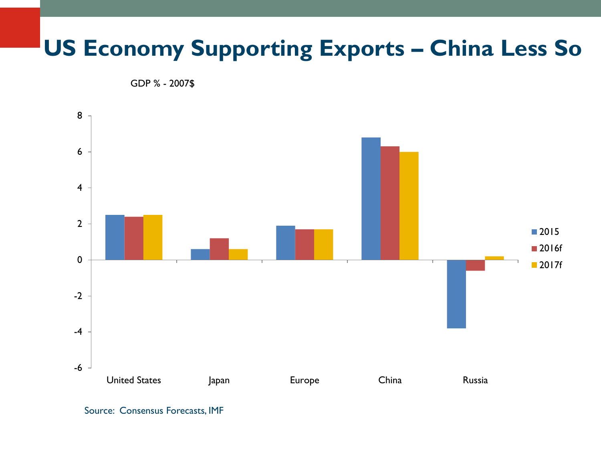## **US Economy Supporting Exports – China Less So**

GDP % - 2007\$



Source: Consensus Forecasts, IMF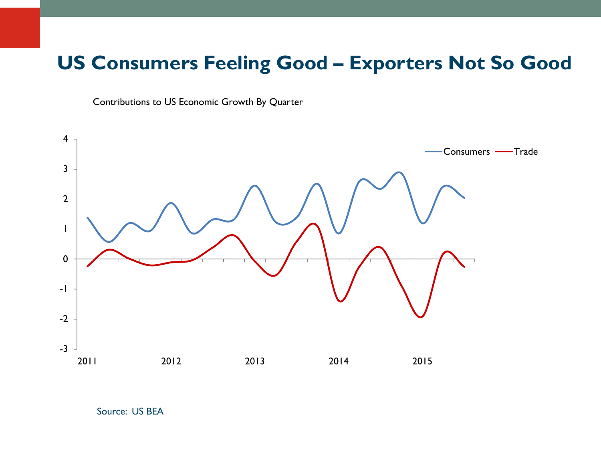#### **US Consumers Feeling Good – Exporters Not So Good**

Contributions to US Economic Growth By Quarter



Source: US BEA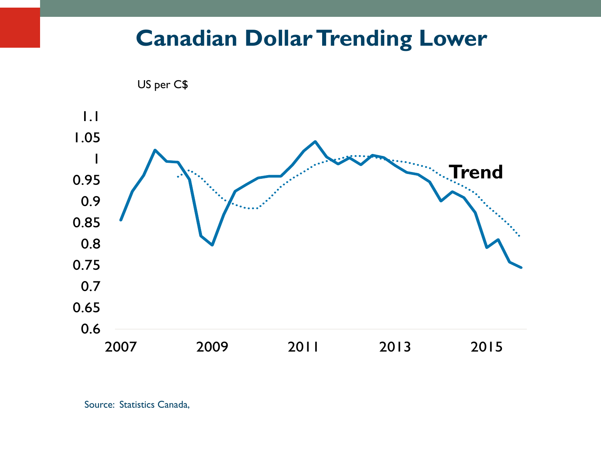### **Canadian Dollar Trending Lower**



Source: Statistics Canada,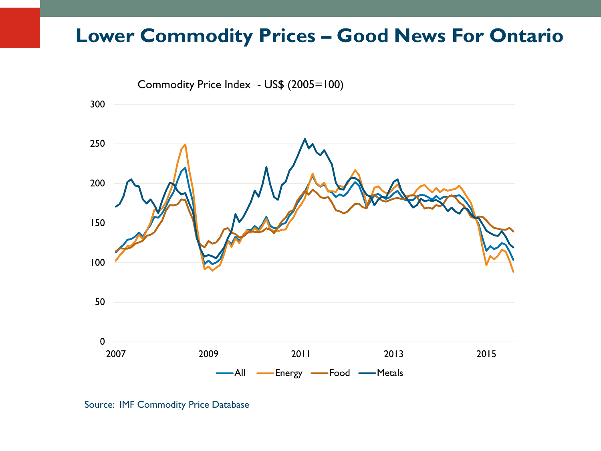#### **Lower Commodity Prices – Good News For Ontario**



Source: IMF Commodity Price Database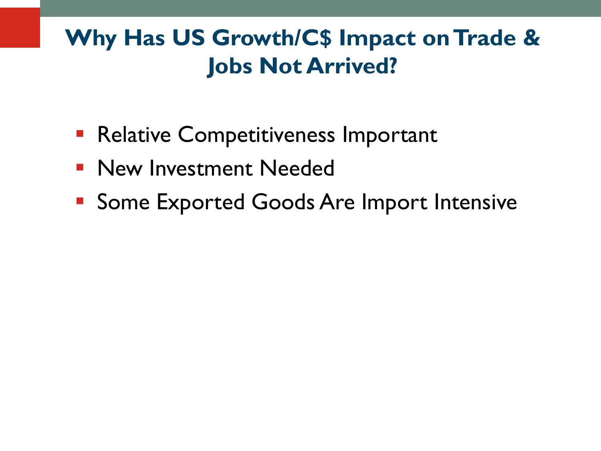# **Why Has US Growth/C\$ Impact on Trade & Jobs Not Arrived?**

- **Relative Competitiveness Important**
- **New Investment Needed**
- **Some Exported Goods Are Import Intensive**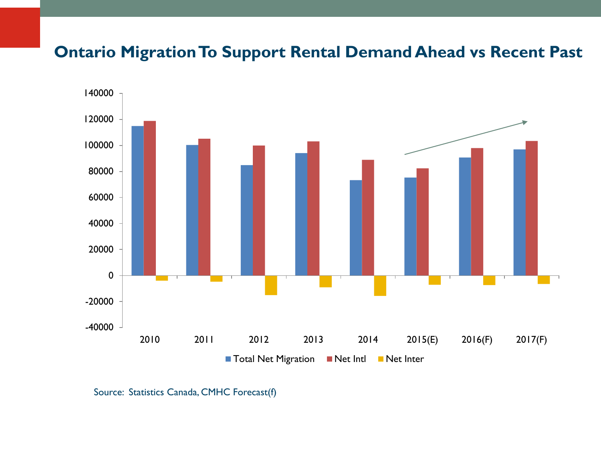#### **Ontario Migration To Support Rental Demand Ahead vs Recent Past**



Source: Statistics Canada, CMHC Forecast(f)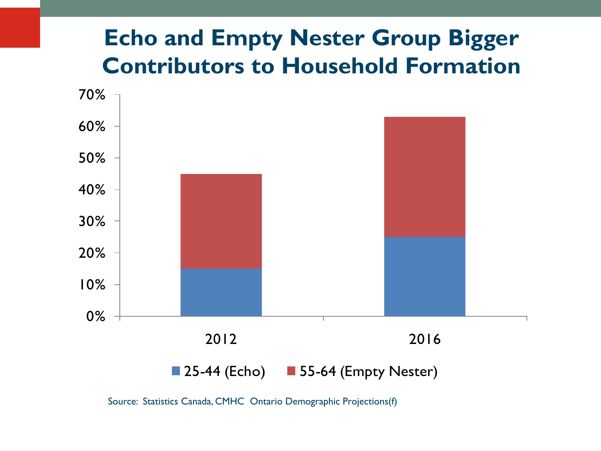## **Echo and Empty Nester Group Bigger Contributors to Household Formation**



Source: Statistics Canada, CMHC Ontario Demographic Projections(f)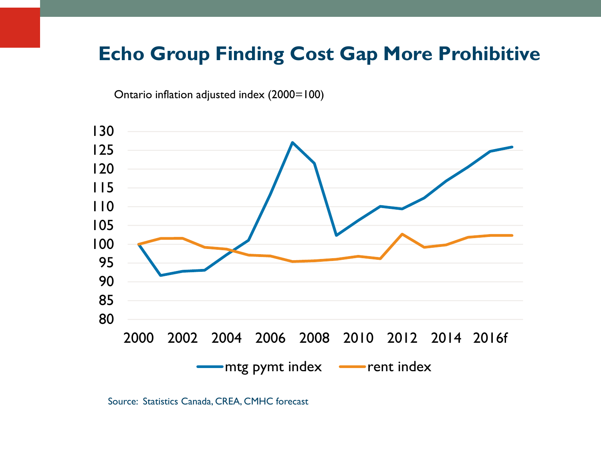#### **Echo Group Finding Cost Gap More Prohibitive**

Ontario inflation adjusted index (2000=100)



Source: Statistics Canada, CREA, CMHC forecast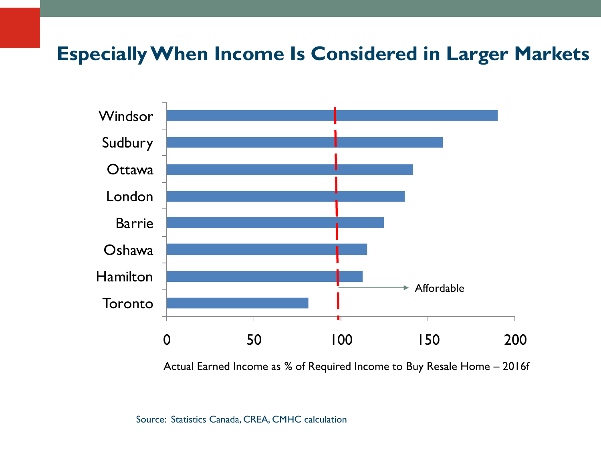### **Especially When Income Is Considered in Larger Markets**



Actual Earned Income as % of Required Income to Buy Resale Home – 2016f

Source: Statistics Canada, CREA, CMHC calculation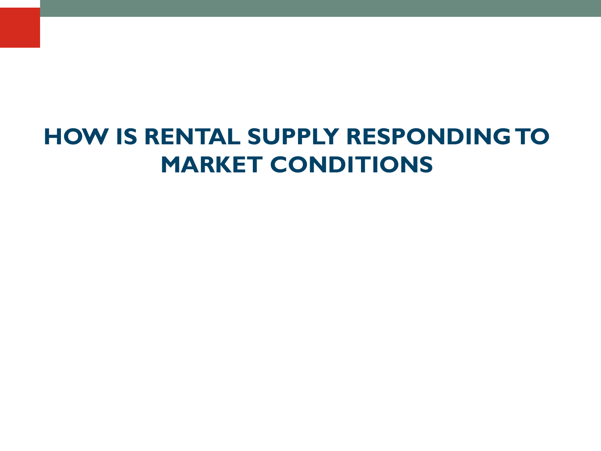# **HOW IS RENTAL SUPPLY RESPONDING TO MARKET CONDITIONS**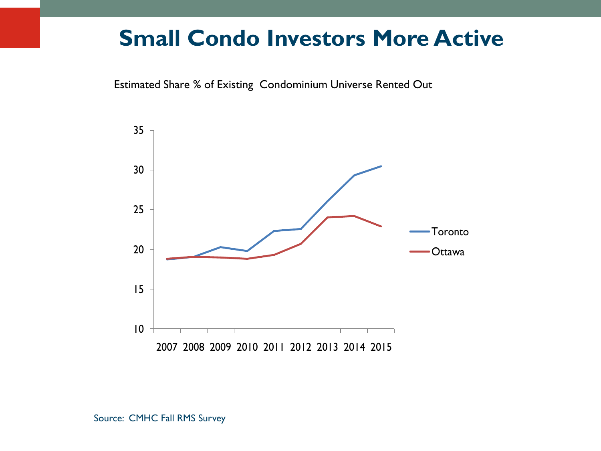### **Small Condo Investors More Active**

Estimated Share % of Existing Condominium Universe Rented Out

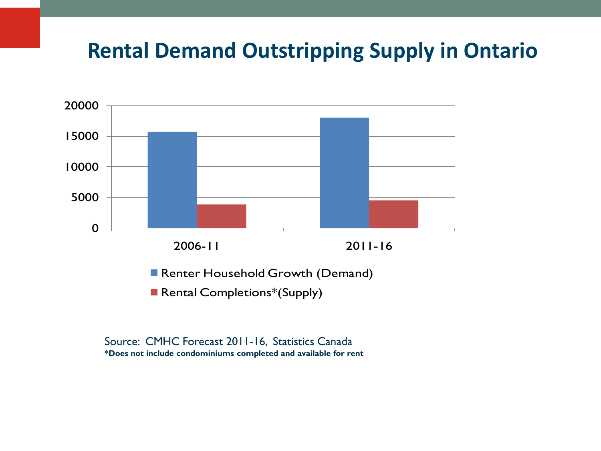### **Rental Demand Outstripping Supply in Ontario**



Source: CMHC Forecast 2011-16, Statistics Canada **\*Does not include condominiums completed and available for rent**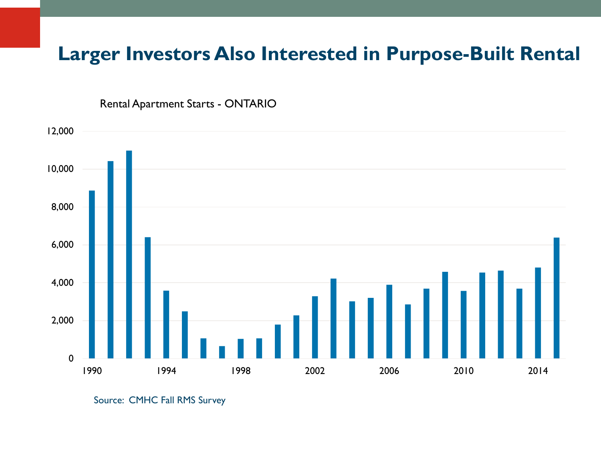#### **Larger Investors Also Interested in Purpose-Built Rental**



Rental Apartment Starts - ONTARIO

Source: CMHC Fall RMS Survey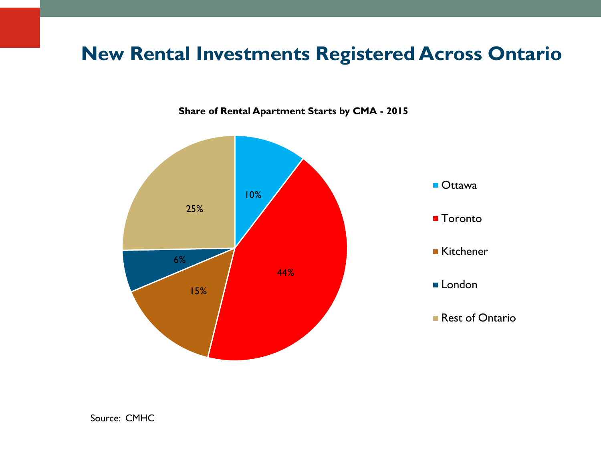#### **New Rental Investments Registered Across Ontario**

**Share of Rental Apartment Starts by CMA - 2015**

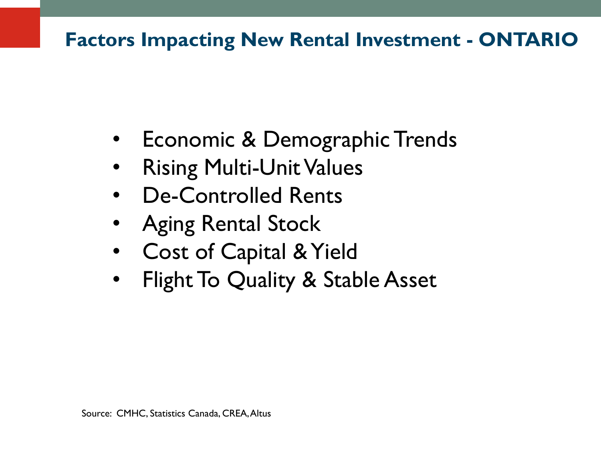### **Factors Impacting New Rental Investment - ONTARIO**

- Economic & Demographic Trends
- Rising Multi-Unit Values
- De-Controlled Rents
- Aging Rental Stock
- Cost of Capital & Yield
- Flight To Quality & Stable Asset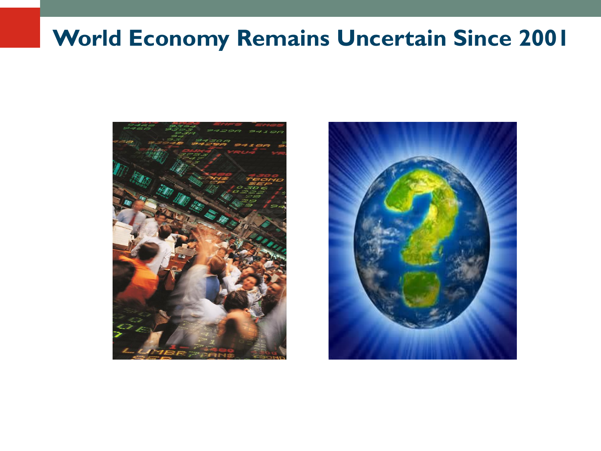## **World Economy Remains Uncertain Since 2001**



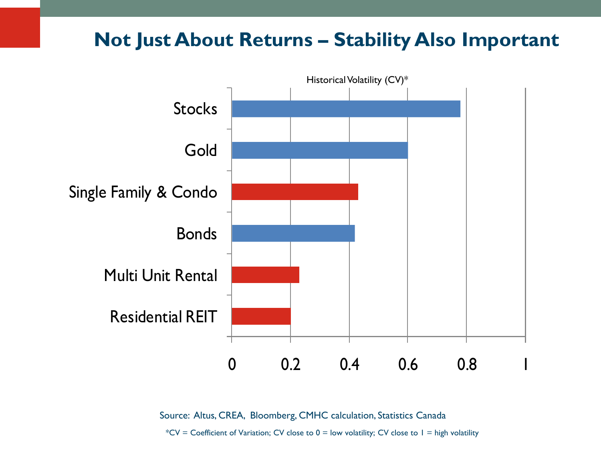#### **Not Just About Returns – Stability Also Important**



Source: Altus, CREA, Bloomberg, CMHC calculation, Statistics Canada

\*CV = Coefficient of Variation; CV close to  $0 =$  low volatility; CV close to  $1 =$  high volatility